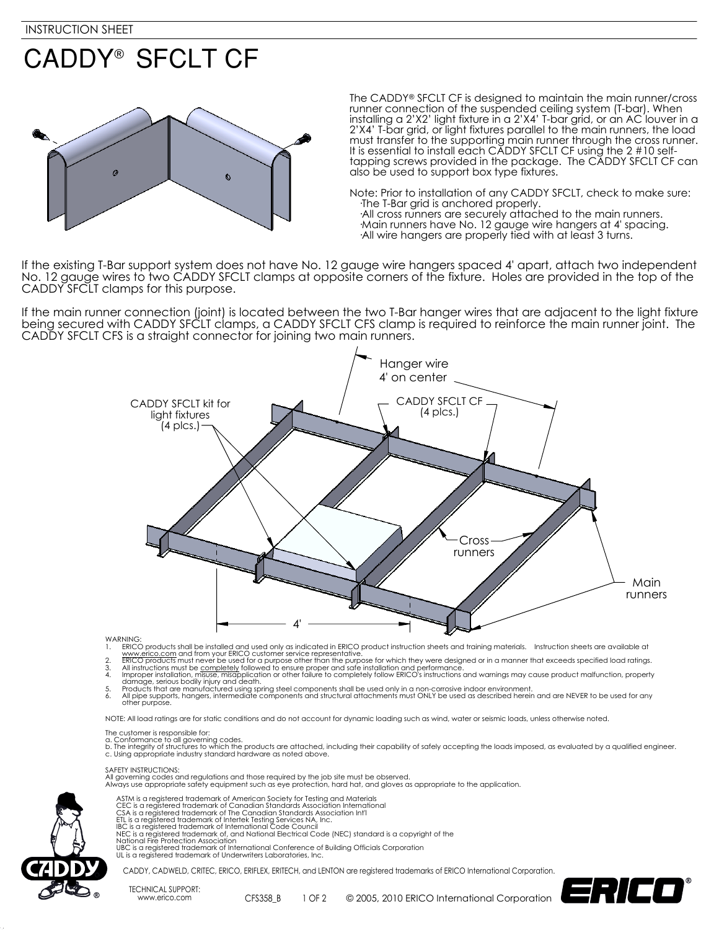### **CADDY® SFCLT CF**



The CADDY® SFCLT CF is designed to maintain the main runner/cross runner connection of the suspended ceiling system (T-bar). When installing a 2'X2' light fixture in a 2'X4' T-bar grid, or an AC louver in a 2'X4' T-bar grid, or light fixtures parallel to the main runners, the load must transfer to the supporting main runner through the cross runner. It is essential to install each CADDY SFCLT CF using the 2 #10 selftapping screws provided in the package. The CADDY SFCLT CF can also be used to support box type fixtures.

Note: Prior to installation of any CADDY SFCLT, check to make sure: ·The T-Bar grid is anchored properly. ·All cross runners are securely attached to the main runners. ·Main runners have No. 12 gauge wire hangers at 4' spacing. ·All wire hangers are properly tied with at least 3 turns.

If the existing T-Bar support system does not have No. 12 gauge wire hangers spaced 4' apart, attach two independent No. 12 gauge wires to two CADDY SFCLT clamps at opposite corners of the fixture. Holes are provided in the top of the CADDY SFCLT clamps for this purpose.

If the main runner connection (joint) is located between the two T-Bar hanger wires that are adjacent to the light fixture being secured with CADDY SFCLT clamps, a CADDY SFCLT CFS clamp is required to reinforce the main runner joint. The CADDY SFCLT CFS is a straight connector for joining two main runners.



**WARNING** 

- 
- 
- 1. ERICO products shall be installed and used only as indicated in ERICO product instruction sheets and training materials. Instruction sheets are available at<br>2. Www.eff.co.com and from your ERICO customer sevice represen
- 
- other purpose.

NOTE: All load ratings are for static conditions and do not account for dynamic loading such as wind, water or seismic loads, unless otherwise noted.

- The customer is responsible for:
- 
- a. Conformance to all governing codes.<br>b. The integrity of structures to which the products are attached, including their capability of safely accepting the loads imposed, as evaluated by a qualified engineer. c. Using appropriate industry standard hardware as noted above.

SAFETY INSTRUCTIONS:

All governing codes and regulations and those required by the job site must be observed. Always use appropriate safety equipment such as eye protection, hard hat, and gloves as appropriate to the application.



# ASTM is a registered trademark of American Society for Testing and Materials<br>CEC is a registered trademark of Canadian Standards Association International<br>CSA is a registered trademark of The Canadian Standards Association

- 
- National Fire Protection Association
- UBC is a registered trademark of International Conference of Building Officials Corporation UL is a registered trademark of Underwriters Laboratories, Inc.
- 

CADDY, CADWELD, CRITEC, ERICO, ERIFLEX, ERITECH, and LENTON are registered trademarks of ERICO International Corporation.

TECHNICAL SUPPORT: www.erico.com CFS358\_B

1 OF 2 © 2005, 2010 ERICO International Corporation